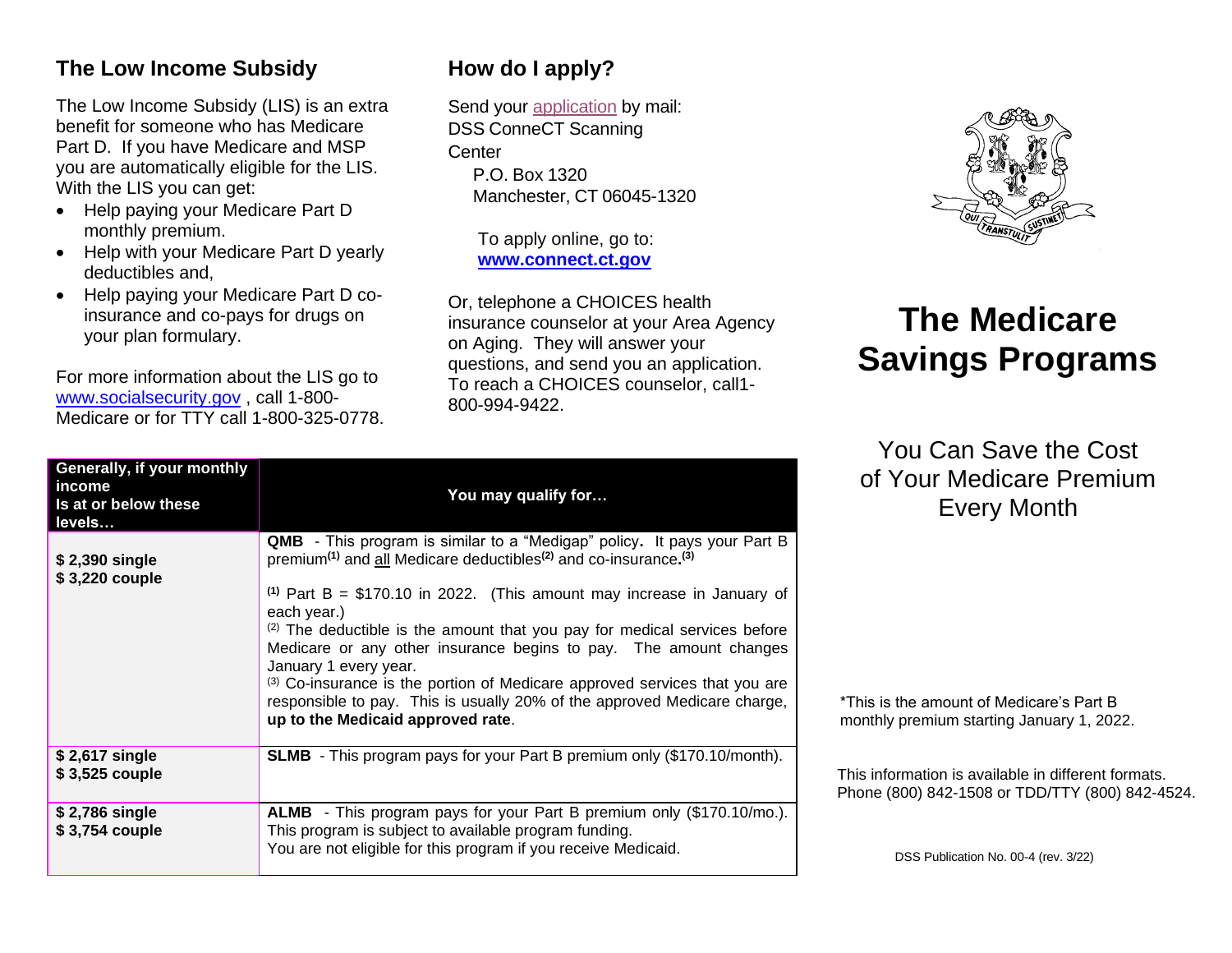#### **The Low Income Subsidy**

The Low Income Subsidy (LIS) is an extra benefit for someone who has Medicare Part D. If you have Medicare and MSP you are automatically eligible for the LIS. With the LIS you can get:

- Help paying your Medicare Part D monthly premium.
- Help with your Medicare Part D yearly deductibles and,
- Help paying your Medicare Part D coinsurance and co-pays for drugs on your plan formulary.

For more information about the LIS go to [www.socialsecurity.gov](http://www.socialsecurity.gov/) , call 1-800- Medicare or for TTY call 1-800-325-0778.

## **How do I apply?**

Send your [application](https://portal.ct.gov/-/media/Departments-and-Agencies/DSS/Medicare-Savings-Program/W-1QMB.docx) by mail: DSS ConneCT Scanning **Center** P.O. Box 1320 Manchester, CT 06045-1320

> To apply online, go to: **[www.connect.ct.gov](http://www.connect.ct.gov/)**

Or, telephone a CHOICES health insurance counselor at your Area Agency on Aging. They will answer your questions, and send you an application. To reach a CHOICES counselor, call1- 800-994-9422.



# **The Medicare Savings Programs**

You Can Save the Cost of Your Medicare Premium Every Month

| Generally, if your monthly<br>income<br>Is at or below these<br>levels | You may qualify for                                                                                                                                                                                                                                                                                                                                                                                                                                                                                                                                                                                                                                  |
|------------------------------------------------------------------------|------------------------------------------------------------------------------------------------------------------------------------------------------------------------------------------------------------------------------------------------------------------------------------------------------------------------------------------------------------------------------------------------------------------------------------------------------------------------------------------------------------------------------------------------------------------------------------------------------------------------------------------------------|
| \$2,390 single<br>\$3,220 couple                                       | QMB - This program is similar to a "Medigap" policy. It pays your Part B<br>premium <sup>(1)</sup> and all Medicare deductibles <sup>(2)</sup> and co-insurance. <sup>(3)</sup><br>$(1)$ Part B = \$170.10 in 2022. (This amount may increase in January of<br>each year.)<br>(2) The deductible is the amount that you pay for medical services before<br>Medicare or any other insurance begins to pay. The amount changes<br>January 1 every year.<br>(3) Co-insurance is the portion of Medicare approved services that you are<br>responsible to pay. This is usually 20% of the approved Medicare charge,<br>up to the Medicaid approved rate. |
| \$2,617 single<br>$$3,525$ couple                                      | <b>SLMB</b> - This program pays for your Part B premium only (\$170.10/month).                                                                                                                                                                                                                                                                                                                                                                                                                                                                                                                                                                       |
| \$2,786 single<br>$$3,754$ couple                                      | <b>ALMB</b> - This program pays for your Part B premium only (\$170.10/mo.).<br>This program is subject to available program funding.<br>You are not eligible for this program if you receive Medicaid.                                                                                                                                                                                                                                                                                                                                                                                                                                              |

#### \*This is the amount of Medicare's Part B monthly premium starting January 1, 2022.

This information is available in different formats. Phone (800) 842-1508 or TDD/TTY (800) 842-4524.